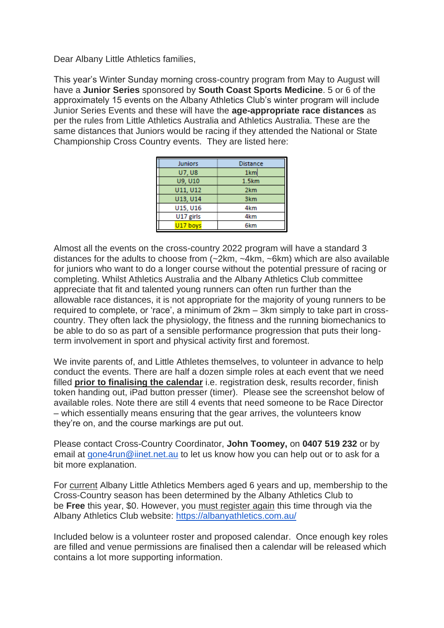Dear Albany Little Athletics families,

This year's Winter Sunday morning cross-country program from May to August will have a **Junior Series** sponsored by **South Coast Sports Medicine**. 5 or 6 of the approximately 15 events on the Albany Athletics Club's winter program will include Junior Series Events and these will have the **age-appropriate race distances** as per the rules from Little Athletics Australia and Athletics Australia. These are the same distances that Juniors would be racing if they attended the National or State Championship Cross Country events. They are listed here:

| <b>Juniors</b> | <b>Distance</b> |  |  |
|----------------|-----------------|--|--|
| <b>U7.U8</b>   | 1km             |  |  |
| U9, U10        | 1.5km           |  |  |
| U11, U12       | 2 <sub>km</sub> |  |  |
| U13, U14       | 3 <sub>km</sub> |  |  |
| U15, U16       | 4km             |  |  |
| U17 girls      | 4km             |  |  |
| U17 boys       | 6km             |  |  |

Almost all the events on the cross-country 2022 program will have a standard 3 distances for the adults to choose from (~2km, ~4km, ~6km) which are also available for juniors who want to do a longer course without the potential pressure of racing or completing. Whilst Athletics Australia and the Albany Athletics Club committee appreciate that fit and talented young runners can often run further than the allowable race distances, it is not appropriate for the majority of young runners to be required to complete, or 'race', a minimum of 2km – 3km simply to take part in crosscountry. They often lack the physiology, the fitness and the running biomechanics to be able to do so as part of a sensible performance progression that puts their longterm involvement in sport and physical activity first and foremost.

We invite parents of, and Little Athletes themselves, to volunteer in advance to help conduct the events. There are half a dozen simple roles at each event that we need filled **prior to finalising the calendar** i.e. registration desk, results recorder, finish token handing out, iPad button presser (timer). Please see the screenshot below of available roles. Note there are still 4 events that need someone to be Race Director – which essentially means ensuring that the gear arrives, the volunteers know they're on, and the course markings are put out.

Please contact Cross-Country Coordinator, **John Toomey,** on **0407 519 232** or by email at [gone4run@iinet.net.au](mailto:gone4run@iinet.net.au) to let us know how you can help out or to ask for a bit more explanation.

For current Albany Little Athletics Members aged 6 years and up, membership to the Cross-Country season has been determined by the Albany Athletics Club to be **Free** this year, \$0. However, you must register again this time through via the Albany Athletics Club website: <https://albanyathletics.com.au/>

Included below is a volunteer roster and proposed calendar. Once enough key roles are filled and venue permissions are finalised then a calendar will be released which contains a lot more supporting information.